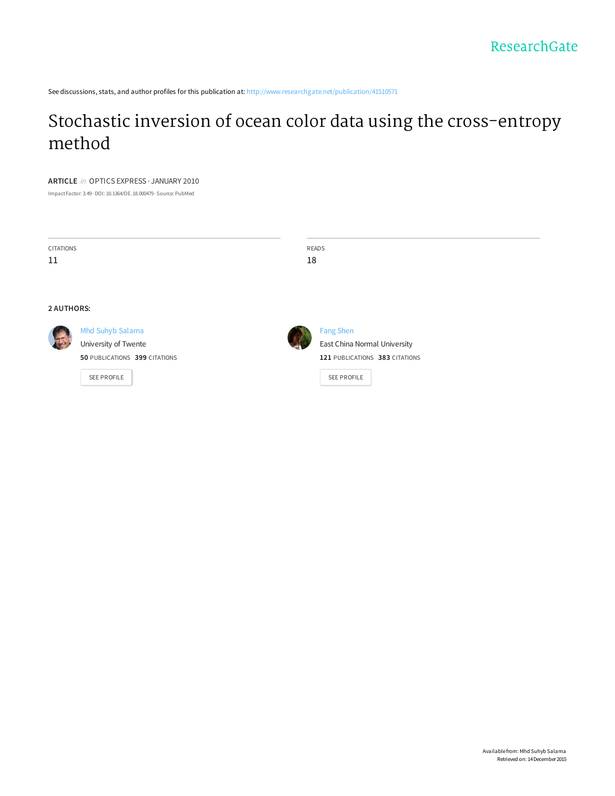See discussions, stats, and author profiles for this publication at: http://www.researchgate.net/publication/41510571

# Stochastic inversion of ocean color data using the cross-entropy method

## **ARTICLE** in OPTICS EXPRESS · JANUARY 2010

ImpactFactor: 3.49· DOI: 10.1364/OE.18.000479· Source: PubMed

| <b>CITATIONS</b>  |                               | READS                          |
|-------------------|-------------------------------|--------------------------------|
| 11                |                               | 18                             |
|                   |                               |                                |
|                   |                               |                                |
| <b>2 AUTHORS:</b> |                               |                                |
|                   | Mhd Suhyb Salama              | <b>Fang Shen</b>               |
|                   | University of Twente          | East China Normal University   |
|                   | 50 PUBLICATIONS 399 CITATIONS | 121 PUBLICATIONS 383 CITATIONS |
|                   | SEE PROFILE                   | SEE PROFILE                    |
|                   |                               |                                |
|                   |                               |                                |
|                   |                               |                                |
|                   |                               |                                |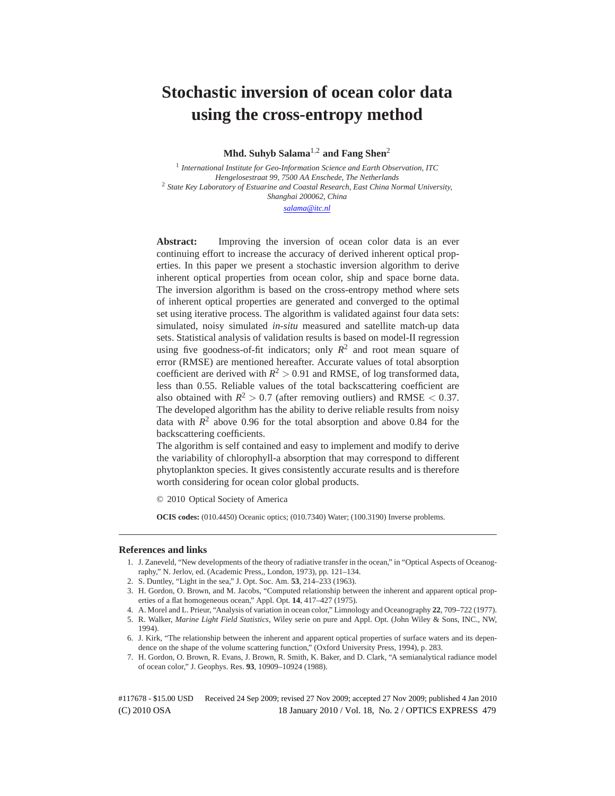## **Stochastic inversion of ocean color data using the cross-entropy method**

**Mhd. Suhyb Salama**1,<sup>2</sup> **and Fang Shen**<sup>2</sup>

<sup>1</sup> *International Institute for Geo-Information Science and Earth Observation, ITC Hengelosestraat 99, 7500 AA Enschede, The Netherlands* <sup>2</sup> *State Key Laboratory of Estuarine and Coastal Research, East China Normal University, Shanghai 200062, China*

*salama@itc.nl*

**Abstract:** Improving the inversion of ocean color data is an ever continuing effort to increase the accuracy of derived inherent optical properties. In this paper we present a stochastic inversion algorithm to derive inherent optical properties from ocean color, ship and space borne data. The inversion algorithm is based on the cross-entropy method where sets of inherent optical properties are generated and converged to the optimal set using iterative process. The algorithm is validated against four data sets: simulated, noisy simulated *in-situ* measured and satellite match-up data sets. Statistical analysis of validation results is based on model-II regression using five goodness-of-fit indicators; only  $R^2$  and root mean square of error (RMSE) are mentioned hereafter. Accurate values of total absorption coefficient are derived with  $R^2 > 0.91$  and RMSE, of log transformed data, less than 0.55. Reliable values of the total backscattering coefficient are also obtained with  $R^2 > 0.7$  (after removing outliers) and RMSE  $< 0.37$ . The developed algorithm has the ability to derive reliable results from noisy data with  $R^2$  above 0.96 for the total absorption and above 0.84 for the backscattering coefficients.

The algorithm is self contained and easy to implement and modify to derive the variability of chlorophyll-a absorption that may correspond to different phytoplankton species. It gives consistently accurate results and is therefore worth considering for ocean color global products.

© 2010 Optical Society of America

**OCIS codes:** (010.4450) Oceanic optics; (010.7340) Water; (100.3190) Inverse problems.

### **References and links**

- 1. J. Zaneveld, "New developments of the theory of radiative transfer in the ocean," in "Optical Aspects of Oceanography," N. Jerlov, ed. (Academic Press,, London, 1973), pp. 121–134.
- 2. S. Duntley, "Light in the sea," J. Opt. Soc. Am. **53**, 214–233 (1963).
- 3. H. Gordon, O. Brown, and M. Jacobs, "Computed relationship between the inherent and apparent optical properties of a flat homogeneous ocean," Appl. Opt. **14**, 417–427 (1975).
- 4. A. Morel and L. Prieur, "Analysis of variation in ocean color," Limnology and Oceanography **22**, 709–722 (1977).
- 5. R. Walker, *Marine Light Field Statistics*, Wiley serie on pure and Appl. Opt. (John Wiley & Sons, INC., NW, 1994).
- 6. J. Kirk, "The relationship between the inherent and apparent optical properties of surface waters and its dependence on the shape of the volume scattering function," (Oxford University Press, 1994), p. 283.
- 7. H. Gordon, O. Brown, R. Evans, J. Brown, R. Smith, K. Baker, and D. Clark, "A semianalytical radiance model of ocean color," J. Geophys. Res. **93**, 10909–10924 (1988).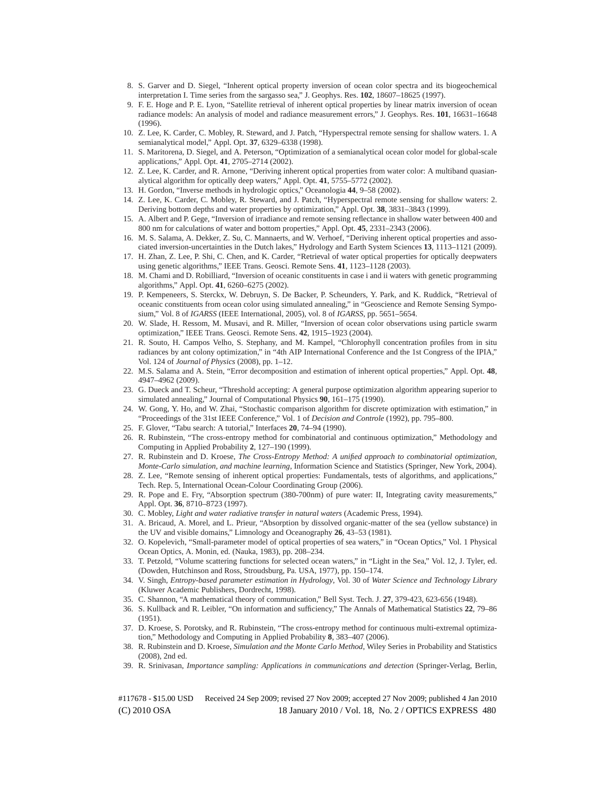- 8. S. Garver and D. Siegel, "Inherent optical property inversion of ocean color spectra and its biogeochemical interpretation I. Time series from the sargasso sea," J. Geophys. Res. **102**, 18607–18625 (1997).
- 9. F. E. Hoge and P. E. Lyon, "Satellite retrieval of inherent optical properties by linear matrix inversion of ocean radiance models: An analysis of model and radiance measurement errors," J. Geophys. Res. **101**, 16631–16648 (1996).
- 10. Z. Lee, K. Carder, C. Mobley, R. Steward, and J. Patch, "Hyperspectral remote sensing for shallow waters. 1. A semianalytical model," Appl. Opt. **37**, 6329–6338 (1998).
- 11. S. Maritorena, D. Siegel, and A. Peterson, "Optimization of a semianalytical ocean color model for global-scale applications," Appl. Opt. **41**, 2705–2714 (2002).
- 12. Z. Lee, K. Carder, and R. Arnone, "Deriving inherent optical properties from water color: A multiband quasianalytical algorithm for optically deep waters," Appl. Opt. **41**, 5755–5772 (2002).
- 13. H. Gordon, "Inverse methods in hydrologic optics," Oceanologia **44**, 9–58 (2002).
- 14. Z. Lee, K. Carder, C. Mobley, R. Steward, and J. Patch, "Hyperspectral remote sensing for shallow waters: 2. Deriving bottom depths and water properties by optimization," Appl. Opt. **38**, 3831–3843 (1999).
- 15. A. Albert and P. Gege, "Inversion of irradiance and remote sensing reflectance in shallow water between 400 and 800 nm for calculations of water and bottom properties," Appl. Opt. **45**, 2331–2343 (2006).
- 16. M. S. Salama, A. Dekker, Z. Su, C. Mannaerts, and W. Verhoef, "Deriving inherent optical properties and associated inversion-uncertainties in the Dutch lakes," Hydrology and Earth System Sciences **13**, 1113–1121 (2009).
- 17. H. Zhan, Z. Lee, P. Shi, C. Chen, and K. Carder, "Retrieval of water optical properties for optically deepwaters using genetic algorithms," IEEE Trans. Geosci. Remote Sens. **41**, 1123–1128 (2003).
- 18. M. Chami and D. Robilliard, "Inversion of oceanic constituents in case i and ii waters with genetic programming algorithms," Appl. Opt. **41**, 6260–6275 (2002).
- 19. P. Kempeneers, S. Sterckx, W. Debruyn, S. De Backer, P. Scheunders, Y. Park, and K. Ruddick, "Retrieval of oceanic constituents from ocean color using simulated annealing," in "Geoscience and Remote Sensing Symposium," Vol. 8 of *IGARSS* (IEEE International, 2005), vol. 8 of *IGARSS*, pp. 5651–5654.
- 20. W. Slade, H. Ressom, M. Musavi, and R. Miller, "Inversion of ocean color observations using particle swarm optimization," IEEE Trans. Geosci. Remote Sens. **42**, 1915–1923 (2004).
- 21. R. Souto, H. Campos Velho, S. Stephany, and M. Kampel, "Chlorophyll concentration profiles from in situ radiances by ant colony optimization," in "4th AIP International Conference and the 1st Congress of the IPIA," Vol. 124 of *Journal of Physics* (2008), pp. 1–12.
- 22. M.S. Salama and A. Stein, "Error decomposition and estimation of inherent optical properties," Appl. Opt. **48**, 4947–4962 (2009).
- 23. G. Dueck and T. Scheur, "Threshold accepting: A general purpose optimization algorithm appearing superior to simulated annealing," Journal of Computational Physics **90**, 161–175 (1990).
- 24. W. Gong, Y. Ho, and W. Zhai, "Stochastic comparison algorithm for discrete optimization with estimation," in "Proceedings of the 31st IEEE Conference," Vol. 1 of *Decision and Controle* (1992), pp. 795–800.
- 25. F. Glover, "Tabu search: A tutorial," Interfaces **20**, 74–94 (1990).
- 26. R. Rubinstein, "The cross-entropy method for combinatorial and continuous optimization," Methodology and Computing in Applied Probability **2**, 127–190 (1999).
- 27. R. Rubinstein and D. Kroese, *The Cross-Entropy Method: A unified approach to combinatorial optimization, Monte-Carlo simulation, and machine learning*, Information Science and Statistics (Springer, New York, 2004).
- 28. Z. Lee, "Remote sensing of inherent optical properties: Fundamentals, tests of algorithms, and applications," Tech. Rep. 5, International Ocean-Colour Coordinating Group (2006).
- 29. R. Pope and E. Fry, "Absorption spectrum (380-700nm) of pure water: II, Integrating cavity measurements," Appl. Opt. **36**, 8710–8723 (1997).
- 30. C. Mobley, *Light and water radiative transfer in natural waters* (Academic Press, 1994).
- 31. A. Bricaud, A. Morel, and L. Prieur, "Absorption by dissolved organic-matter of the sea (yellow substance) in the UV and visible domains," Limnology and Oceanography **26**, 43–53 (1981).
- 32. O. Kopelevich, "Small-parameter model of optical properties of sea waters," in "Ocean Optics," Vol. 1 Physical Ocean Optics, A. Monin, ed. (Nauka, 1983), pp. 208–234.
- 33. T. Petzold, "Volume scattering functions for selected ocean waters," in "Light in the Sea," Vol. 12, J. Tyler, ed. (Dowden, Hutchinson and Ross, Stroudsburg, Pa. USA, 1977), pp. 150–174.
- 34. V. Singh, *Entropy-based parameter estimation in Hydrology*, Vol. 30 of *Water Science and Technology Library* (Kluwer Academic Publishers, Dordrecht, 1998).
- 35. C. Shannon, "A mathematical theory of communication," Bell Syst. Tech. J. **27**, 379-423, 623-656 (1948).
- 36. S. Kullback and R. Leibler, "On information and sufficiency," The Annals of Mathematical Statistics **22**, 79–86 (1951).
- 37. D. Kroese, S. Porotsky, and R. Rubinstein, "The cross-entropy method for continuous multi-extremal optimization," Methodology and Computing in Applied Probability **8**, 383–407 (2006).
- 38. R. Rubinstein and D. Kroese, *Simulation and the Monte Carlo Method*, Wiley Series in Probability and Statistics (2008), 2nd ed.
- 39. R. Srinivasan, *Importance sampling: Applications in communications and detection* (Springer-Verlag, Berlin,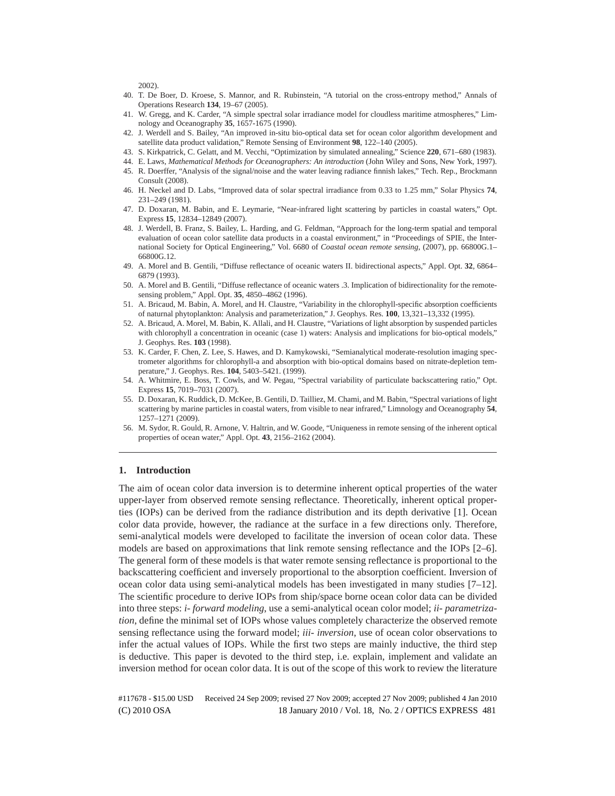2002).

- 40. T. De Boer, D. Kroese, S. Mannor, and R. Rubinstein, "A tutorial on the cross-entropy method," Annals of Operations Research **134**, 19–67 (2005).
- 41. W. Gregg, and K. Carder, "A simple spectral solar irradiance model for cloudless maritime atmospheres," Limnology and Oceanography **35**, 1657-1675 (1990).
- 42. J. Werdell and S. Bailey, "An improved in-situ bio-optical data set for ocean color algorithm development and satellite data product validation," Remote Sensing of Environment **98**, 122–140 (2005).
- 43. S. Kirkpatrick, C. Gelatt, and M. Vecchi, "Optimization by simulated annealing," Science **220**, 671–680 (1983).
- 44. E. Laws, *Mathematical Methods for Oceanographers: An introduction* (John Wiley and Sons, New York, 1997).
- 45. R. Doerffer, "Analysis of the signal/noise and the water leaving radiance finnish lakes," Tech. Rep., Brockmann Consult (2008).
- 46. H. Neckel and D. Labs, "Improved data of solar spectral irradiance from 0.33 to 1.25 mm," Solar Physics **74**, 231–249 (1981).
- 47. D. Doxaran, M. Babin, and E. Leymarie, "Near-infrared light scattering by particles in coastal waters," Opt. Express **15**, 12834–12849 (2007).
- 48. J. Werdell, B. Franz, S. Bailey, L. Harding, and G. Feldman, "Approach for the long-term spatial and temporal evaluation of ocean color satellite data products in a coastal environment," in "Proceedings of SPIE, the International Society for Optical Engineering," Vol. 6680 of *Coastal ocean remote sensing*, (2007), pp. 66800G.1– 66800G.12.
- 49. A. Morel and B. Gentili, "Diffuse reflectance of oceanic waters II. bidirectional aspects," Appl. Opt. **32**, 6864– 6879 (1993).
- 50. A. Morel and B. Gentili, "Diffuse reflectance of oceanic waters .3. Implication of bidirectionality for the remotesensing problem," Appl. Opt. **35**, 4850–4862 (1996).
- 51. A. Bricaud, M. Babin, A. Morel, and H. Claustre, "Variability in the chlorophyll-specific absorption coefficients of naturnal phytoplankton: Analysis and parameterization," J. Geophys. Res. **100**, 13,321–13,332 (1995).
- 52. A. Bricaud, A. Morel, M. Babin, K. Allali, and H. Claustre, "Variations of light absorption by suspended particles with chlorophyll a concentration in oceanic (case 1) waters: Analysis and implications for bio-optical models," J. Geophys. Res. **103** (1998).
- 53. K. Carder, F. Chen, Z. Lee, S. Hawes, and D. Kamykowski, "Semianalytical moderate-resolution imaging spectrometer algorithms for chlorophyll-a and absorption with bio-optical domains based on nitrate-depletion temperature," J. Geophys. Res. **104**, 5403–5421. (1999).
- 54. A. Whitmire, E. Boss, T. Cowls, and W. Pegau, "Spectral variability of particulate backscattering ratio," Opt. Express **15**, 7019–7031 (2007).
- 55. D. Doxaran, K. Ruddick, D. McKee, B. Gentili, D. Tailliez, M. Chami, and M. Babin, "Spectral variations of light scattering by marine particles in coastal waters, from visible to near infrared," Limnology and Oceanography **54**, 1257–1271 (2009).
- 56. M. Sydor, R. Gould, R. Arnone, V. Haltrin, and W. Goode, "Uniqueness in remote sensing of the inherent optical properties of ocean water," Appl. Opt. **43**, 2156–2162 (2004).

## **1. Introduction**

The aim of ocean color data inversion is to determine inherent optical properties of the water upper-layer from observed remote sensing reflectance. Theoretically, inherent optical properties (IOPs) can be derived from the radiance distribution and its depth derivative [1]. Ocean color data provide, however, the radiance at the surface in a few directions only. Therefore, semi-analytical models were developed to facilitate the inversion of ocean color data. These models are based on approximations that link remote sensing reflectance and the IOPs [2–6]. The general form of these models is that water remote sensing reflectance is proportional to the backscattering coefficient and inversely proportional to the absorption coefficient. Inversion of ocean color data using semi-analytical models has been investigated in many studies [7–12]. The scientific procedure to derive IOPs from ship/space borne ocean color data can be divided into three steps: *i- forward modeling*, use a semi-analytical ocean color model; *ii- parametrization*, define the minimal set of IOPs whose values completely characterize the observed remote sensing reflectance using the forward model; *iii- inversion*, use of ocean color observations to infer the actual values of IOPs. While the first two steps are mainly inductive, the third step is deductive. This paper is devoted to the third step, i.e. explain, implement and validate an inversion method for ocean color data. It is out of the scope of this work to review the literature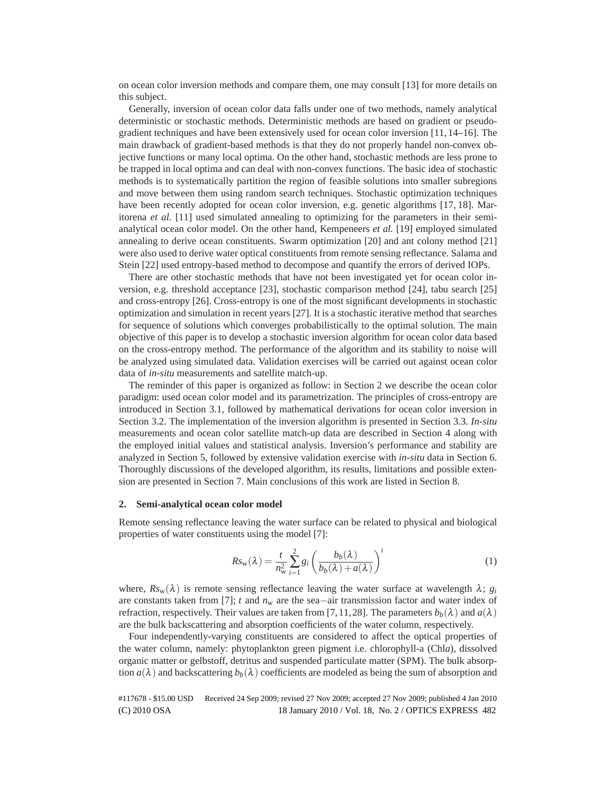on ocean color inversion methods and compare them, one may consult [13] for more details on this subject.

Generally, inversion of ocean color data falls under one of two methods, namely analytical deterministic or stochastic methods. Deterministic methods are based on gradient or pseudogradient techniques and have been extensively used for ocean color inversion [11, 14–16]. The main drawback of gradient-based methods is that they do not properly handel non-convex objective functions or many local optima. On the other hand, stochastic methods are less prone to be trapped in local optima and can deal with non-convex functions. The basic idea of stochastic methods is to systematically partition the region of feasible solutions into smaller subregions and move between them using random search techniques. Stochastic optimization techniques have been recently adopted for ocean color inversion, e.g. genetic algorithms [17, 18]. Maritorena *et al.* [11] used simulated annealing to optimizing for the parameters in their semianalytical ocean color model. On the other hand, Kempeneers *et al.* [19] employed simulated annealing to derive ocean constituents. Swarm optimization [20] and ant colony method [21] were also used to derive water optical constituents from remote sensing reflectance. Salama and Stein [22] used entropy-based method to decompose and quantify the errors of derived IOPs.

There are other stochastic methods that have not been investigated yet for ocean color inversion, e.g. threshold acceptance [23], stochastic comparison method [24], tabu search [25] and cross-entropy [26]. Cross-entropy is one of the most significant developments in stochastic optimization and simulation in recent years [27]. It is a stochastic iterative method that searches for sequence of solutions which converges probabilistically to the optimal solution. The main objective of this paper is to develop a stochastic inversion algorithm for ocean color data based on the cross-entropy method. The performance of the algorithm and its stability to noise will be analyzed using simulated data. Validation exercises will be carried out against ocean color data of *in-situ* measurements and satellite match-up.

The reminder of this paper is organized as follow: in Section 2 we describe the ocean color paradigm: used ocean color model and its parametrization. The principles of cross-entropy are introduced in Section 3.1, followed by mathematical derivations for ocean color inversion in Section 3.2. The implementation of the inversion algorithm is presented in Section 3.3. *In-situ* measurements and ocean color satellite match-up data are described in Section 4 along with the employed initial values and statistical analysis. Inversion's performance and stability are analyzed in Section 5, followed by extensive validation exercise with *in-situ* data in Section 6. Thoroughly discussions of the developed algorithm, its results, limitations and possible extension are presented in Section 7. Main conclusions of this work are listed in Section 8.

## **2. Semi-analytical ocean color model**

Remote sensing reflectance leaving the water surface can be related to physical and biological properties of water constituents using the model [7]:

$$
Rs_{\mathbf{w}}(\lambda) = \frac{t}{n_{\mathbf{w}}^2} \sum_{i=1}^2 g_i \left( \frac{b_b(\lambda)}{b_b(\lambda) + a(\lambda)} \right)^i
$$
 (1)

where,  $R_{\mathcal{S}_{\rm W}}(\lambda)$  is remote sensing reflectance leaving the water surface at wavelength  $\lambda$ ;  $g_i$ are constants taken from [7]; *t* and *n*<sup>w</sup> are the sea−air transmission factor and water index of refraction, respectively. Their values are taken from [7, 11, 28]. The parameters  $b_h(\lambda)$  and  $a(\lambda)$ are the bulk backscattering and absorption coefficients of the water column, respectively.

Four independently-varying constituents are considered to affect the optical properties of the water column, namely: phytoplankton green pigment i.e. chlorophyll-a (Chl*a*), dissolved organic matter or gelbstoff, detritus and suspended particulate matter (SPM). The bulk absorption  $a(\lambda)$  and backscattering  $b_b(\lambda)$  coefficients are modeled as being the sum of absorption and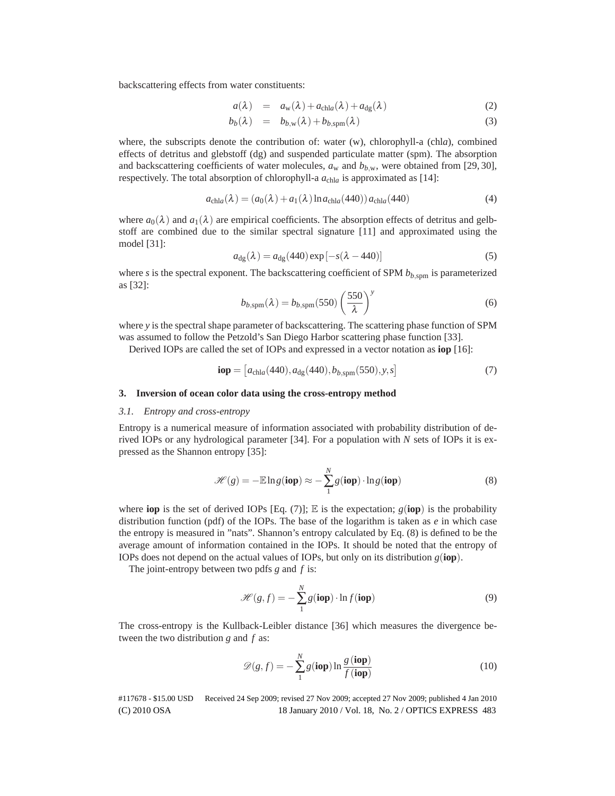backscattering effects from water constituents:

$$
a(\lambda) = a_{\rm w}(\lambda) + a_{\rm chla}(\lambda) + a_{\rm dg}(\lambda) \tag{2}
$$

$$
b_b(\lambda) = b_{b,\mathbf{w}}(\lambda) + b_{b,\text{spm}}(\lambda) \tag{3}
$$

where, the subscripts denote the contribution of: water (w), chlorophyll-a (chl*a*), combined effects of detritus and glebstoff (dg) and suspended particulate matter (spm). The absorption and backscattering coefficients of water molecules,  $a_w$  and  $b_{b,w}$ , were obtained from [29, 30], respectively. The total absorption of chlorophyll-a *a*chl*<sup>a</sup>* is approximated as [14]:

$$
a_{\text{chla}}(\lambda) = (a_0(\lambda) + a_1(\lambda) \ln a_{\text{chla}}(440)) a_{\text{chla}}(440)
$$
 (4)

where  $a_0(\lambda)$  and  $a_1(\lambda)$  are empirical coefficients. The absorption effects of detritus and gelbstoff are combined due to the similar spectral signature [11] and approximated using the model [31]:

$$
a_{\rm dg}(\lambda) = a_{\rm dg}(440) \exp[-s(\lambda - 440)] \tag{5}
$$

where  $s$  is the spectral exponent. The backscattering coefficient of SPM  $b_{b, \text{spm}}$  is parameterized as [32]:

$$
b_{b,\text{spm}}(\lambda) = b_{b,\text{spm}}(550) \left(\frac{550}{\lambda}\right)^y \tag{6}
$$

where *y* is the spectral shape parameter of backscattering. The scattering phase function of SPM was assumed to follow the Petzold's San Diego Harbor scattering phase function [33].

Derived IOPs are called the set of IOPs and expressed in a vector notation as **iop** [16]:

$$
\mathbf{iop} = [a_{\text{chla}}(440), a_{\text{dg}}(440), b_{b,\text{spm}}(550), y, s]
$$
(7)

## **3. Inversion of ocean color data using the cross-entropy method**

#### *3.1. Entropy and cross-entropy*

Entropy is a numerical measure of information associated with probability distribution of derived IOPs or any hydrological parameter [34]. For a population with *N* sets of IOPs it is expressed as the Shannon entropy [35]:

$$
\mathcal{H}(g) = -\mathbb{E}\ln g(\textbf{iop}) \approx -\sum_{1}^{N} g(\textbf{iop}) \cdot \ln g(\textbf{iop})
$$
(8)

where **iop** is the set of derived IOPs [Eq. (7)]; E is the expectation;  $g(iop)$  is the probability distribution function (pdf) of the IOPs. The base of the logarithm is taken as *e* in which case the entropy is measured in "nats". Shannon's entropy calculated by Eq. (8) is defined to be the average amount of information contained in the IOPs. It should be noted that the entropy of IOPs does not depend on the actual values of IOPs, but only on its distribution *g*(**iop**).

The joint-entropy between two pdfs *g* and *f* is:

$$
\mathcal{H}(g, f) = -\sum_{1}^{N} g(\text{iop}) \cdot \ln f(\text{iop})
$$
 (9)

The cross-entropy is the Kullback-Leibler distance [36] which measures the divergence between the two distribution *g* and *f* as:

$$
\mathscr{D}(g,f) = -\sum_{1}^{N} g(\text{iop}) \ln \frac{g(\text{iop})}{f(\text{iop})}
$$
(10)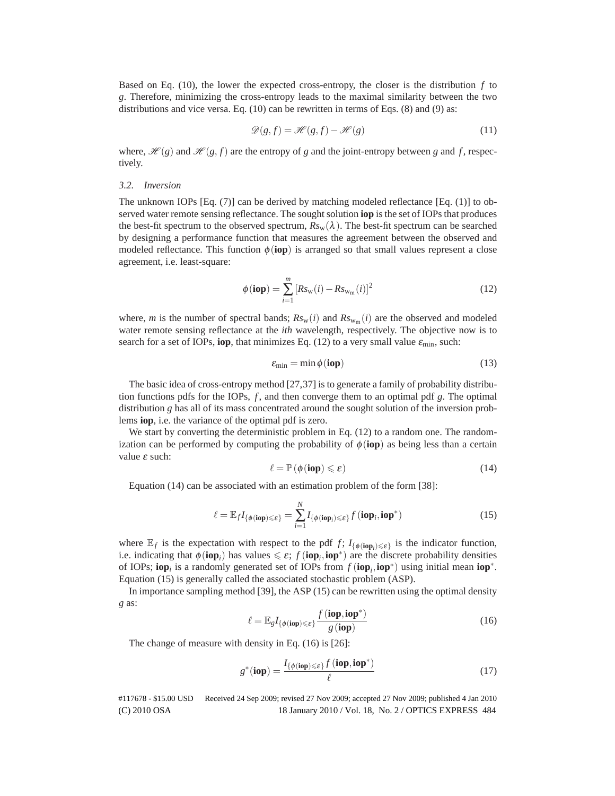Based on Eq. (10), the lower the expected cross-entropy, the closer is the distribution *f* to *g*. Therefore, minimizing the cross-entropy leads to the maximal similarity between the two distributions and vice versa. Eq.  $(10)$  can be rewritten in terms of Eqs.  $(8)$  and  $(9)$  as:

$$
\mathcal{D}(g, f) = \mathcal{H}(g, f) - \mathcal{H}(g)
$$
\n(11)

where,  $\mathcal{H}(g)$  and  $\mathcal{H}(g, f)$  are the entropy of *g* and the joint-entropy between *g* and *f*, respectively.

#### *3.2. Inversion*

The unknown IOPs [Eq.  $(7)$ ] can be derived by matching modeled reflectance [Eq.  $(1)$ ] to observed water remote sensing reflectance. The sought solution **iop** is the set of IOPs that produces the best-fit spectrum to the observed spectrum,  $Rs_w(\lambda)$ . The best-fit spectrum can be searched by designing a performance function that measures the agreement between the observed and modeled reflectance. This function  $\phi$  (**iop**) is arranged so that small values represent a close agreement, i.e. least-square:

$$
\phi(iop) = \sum_{i=1}^{m} \left[ Rs_{\rm w}(i) - Rs_{\rm w_m}(i) \right]^2 \tag{12}
$$

where, *m* is the number of spectral bands;  $R_{s_w}(i)$  and  $R_{s_{w_m}}(i)$  are the observed and modeled water remote sensing reflectance at the *ith* wavelength, respectively. The objective now is to search for a set of IOPs, **iop**, that minimizes Eq. (12) to a very small value  $\varepsilon_{\text{min}}$ , such:

$$
\varepsilon_{\min} = \min \phi(\textbf{iop}) \tag{13}
$$

The basic idea of cross-entropy method [27,37] is to generate a family of probability distribution functions pdfs for the IOPs, *f* , and then converge them to an optimal pdf *g*. The optimal distribution *g* has all of its mass concentrated around the sought solution of the inversion problems **iop**, i.e. the variance of the optimal pdf is zero.

We start by converting the deterministic problem in Eq. (12) to a random one. The randomization can be performed by computing the probability of  $\phi(iop)$  as being less than a certain value <sup>ε</sup> such:

$$
\ell = \mathbb{P}\left(\phi(\text{iop}) \leqslant \varepsilon\right) \tag{14}
$$

Equation (14) can be associated with an estimation problem of the form [38]:

$$
\ell = \mathbb{E}_f I_{\{\phi(\textbf{iop}) \leq \varepsilon\}} = \sum_{i=1}^N I_{\{\phi(\textbf{iop}_i) \leq \varepsilon\}} f(\textbf{iop}_i, \textbf{iop}^*)
$$
(15)

where  $\mathbb{E}_f$  is the expectation with respect to the pdf *f*;  $I_{\{\phi(\textbf{iop}_i)\leq \varepsilon\}}$  is the indicator function, i.e. indicating that  $\phi(iop_i)$  has values  $\leq \varepsilon$ ;  $f(iop_i, iop^*)$  are the discrete probability densities of IOPs; **iop***<sup>i</sup>* is a randomly generated set of IOPs from *f* (**iop***i*,**iop**∗) using initial mean **iop**∗. Equation (15) is generally called the associated stochastic problem (ASP).

In importance sampling method [39], the ASP (15) can be rewritten using the optimal density *g* as:

$$
\ell = \mathbb{E}_{g} I_{\{\phi(\textbf{iop}) \leq \varepsilon\}} \frac{f(\textbf{iop}, \textbf{iop}^*)}{g(\textbf{iop})}
$$
(16)

The change of measure with density in Eq. (16) is [26]:

$$
g^*(\mathbf{iop}) = \frac{I_{\{\phi(\mathbf{iop}) \leq \varepsilon\}} f(\mathbf{iop}, \mathbf{iop}^*)}{\ell}
$$
(17)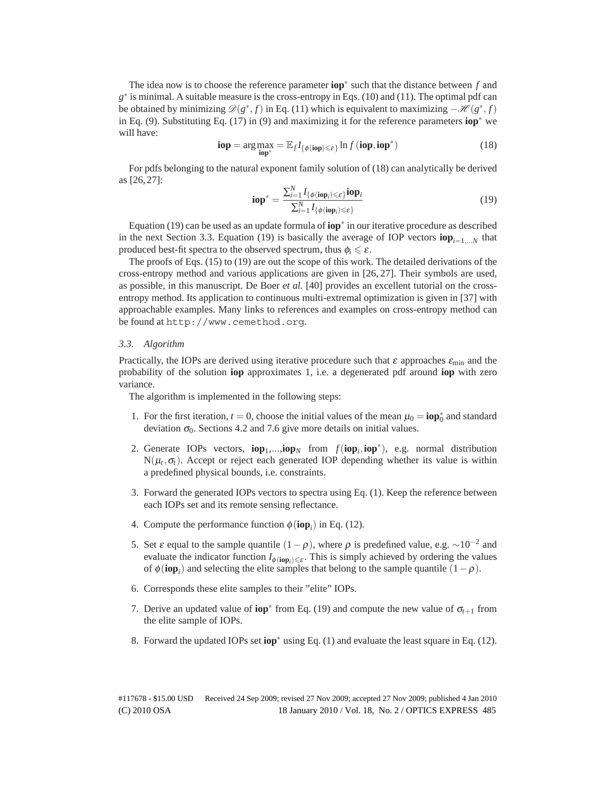The idea now is to choose the reference parameter **iop**<sup>∗</sup> such that the distance between *f* and *g*<sup>∗</sup> is minimal. A suitable measure is the cross-entropy in Eqs. (10) and (11). The optimal pdf can be obtained by minimizing  $\mathscr{D}(g^*, f)$  in Eq. (11) which is equivalent to maximizing  $-\mathscr{H}(g^*, f)$ in Eq. (9). Substituting Eq. (17) in (9) and maximizing it for the reference parameters **iop**<sup>∗</sup> we will have:

$$
\mathbf{iop} = \arg \max_{\mathbf{iop}^*} = \mathbb{E}_f I_{\{\phi(\mathbf{iop}) \leq \varepsilon\}} \ln f(\mathbf{iop}, \mathbf{iop}^*)
$$
(18)

For pdfs belonging to the natural exponent family solution of (18) can analytically be derived as [26, 27]:

$$
\mathbf{iop}^* = \frac{\sum_{i=1}^{N} I_{\{\phi(\mathbf{iop}_i) \leq \varepsilon\}} \mathbf{iop}_i}{\sum_{i=1}^{N} I_{\{\phi(\mathbf{iop}_i) \leq \varepsilon\}}} \tag{19}
$$

Equation (19) can be used as an update formula of **iop**<sup>∗</sup> in our iterative procedure as described in the next Section 3.3. Equation (19) is basically the average of IOP vectors  $\mathbf{iop}_{i=1}$ ,  $\mathbf{v}_i$  that produced best-fit spectra to the observed spectrum, thus  $\phi_i \leq \varepsilon$ .

The proofs of Eqs. (15) to (19) are out the scope of this work. The detailed derivations of the cross-entropy method and various applications are given in [26, 27]. Their symbols are used, as possible, in this manuscript. De Boer *et al.* [40] provides an excellent tutorial on the crossentropy method. Its application to continuous multi-extremal optimization is given in [37] with approachable examples. Many links to references and examples on cross-entropy method can be found at http://www.cemethod.org.

#### *3.3. Algorithm*

Practically, the IOPs are derived using iterative procedure such that  $\varepsilon$  approaches  $\varepsilon_{\min}$  and the probability of the solution **iop** approximates 1, i.e. a degenerated pdf around **iop** with zero variance.

The algorithm is implemented in the following steps:

- 1. For the first iteration,  $t = 0$ , choose the initial values of the mean  $\mu_0 = \textbf{i} \cdot \mathbf{p}_0^*$  and standard deviation  $\sigma_0$ . Sections 4.2 and 7.6 give more details on initial values.
- 2. Generate IOPs vectors,  $iop_1,...,iop_N$  from  $f(iop_i, iop^*)$ , e.g. normal distribution  $N(\mu_t, \sigma_t)$ . Accept or reject each generated IOP depending whether its value is within a predefined physical bounds, i.e. constraints.
- 3. Forward the generated IOPs vectors to spectra using Eq. (1). Keep the reference between each IOPs set and its remote sensing reflectance.
- 4. Compute the performance function  $\phi(iop_i)$  in Eq. (12).
- 5. Set ε equal to the sample quantile  $(1-\rho)$ , where  $\rho$  is predefined value, e.g. ~10<sup>-2</sup> and evaluate the indicator function  $I_{\phi(\text{top}_i) \leq \varepsilon}$ . This is simply achieved by ordering the values of  $\phi(iop_i)$  and selecting the elite samples that belong to the sample quantile  $(1-\rho)$ .
- 6. Corresponds these elite samples to their "elite" IOPs.
- 7. Derive an updated value of **iop**<sup>∗</sup> from Eq. (19) and compute the new value of  $\sigma_{t+1}$  from the elite sample of IOPs.
- 8. Forward the updated IOPs set **iop**<sup>∗</sup> using Eq. (1) and evaluate the least square in Eq. (12).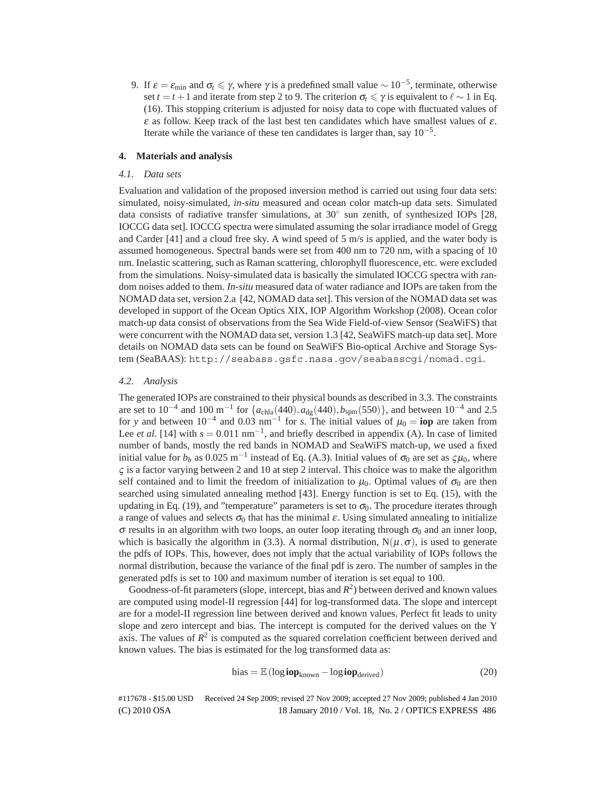9. If  $\varepsilon = \varepsilon_{\min}$  and  $\sigma_t \leq \gamma$ , where  $\gamma$  is a predefined small value  $\sim 10^{-5}$ , terminate, otherwise set  $t = t + 1$  and iterate from step 2 to 9. The criterion  $\sigma_t \leq \gamma$  is equivalent to  $\ell \sim 1$  in Eq. (16). This stopping criterium is adjusted for noisy data to cope with fluctuated values of  $\varepsilon$  as follow. Keep track of the last best ten candidates which have smallest values of  $\varepsilon$ . Iterate while the variance of these ten candidates is larger than, say  $10^{-5}$ .

## **4. Materials and analysis**

## *4.1. Data sets*

Evaluation and validation of the proposed inversion method is carried out using four data sets: simulated, noisy-simulated, *in-situ* measured and ocean color match-up data sets. Simulated data consists of radiative transfer simulations, at  $30°$  sun zenith, of synthesized IOPs [28, IOCCG data set]. IOCCG spectra were simulated assuming the solar irradiance model of Gregg and Carder [41] and a cloud free sky. A wind speed of 5 m/s is applied, and the water body is assumed homogeneous. Spectral bands were set from 400 nm to 720 nm, with a spacing of 10 nm. Inelastic scattering, such as Raman scattering, chlorophyll fluorescence, etc. were excluded from the simulations. Noisy-simulated data is basically the simulated IOCCG spectra with random noises added to them. *In-situ* measured data of water radiance and IOPs are taken from the NOMAD data set, version 2.a [42, NOMAD data set]. This version of the NOMAD data set was developed in support of the Ocean Optics XIX, IOP Algorithm Workshop (2008). Ocean color match-up data consist of observations from the Sea Wide Field-of-view Sensor (SeaWiFS) that were concurrent with the NOMAD data set, version 1.3 [42, SeaWiFS match-up data set]. More details on NOMAD data sets can be found on SeaWiFS Bio-optical Archive and Storage System (SeaBAAS): http://seabass.gsfc.nasa.gov/seabasscgi/nomad.cgi.

## *4.2. Analysis*

The generated IOPs are constrained to their physical bounds as described in 3.3. The constraints are set to 10<sup>-4</sup> and 100 m<sup>-1</sup> for  $\{a_{\text{chla}}(440), a_{\text{dg}}(440), b_{\text{spm}}(550)\}$ , and between 10<sup>-4</sup> and 2.5 for y and between  $10^{-4}$  and  $0.03 \text{ nm}^{-1}$  for *s*. The initial values of  $\mu_0 = \textbf{i}$  are taken from Lee *et al.* [14] with  $s = 0.011$  nm<sup>-1</sup>, and briefly described in appendix (A). In case of limited number of bands, mostly the red bands in NOMAD and SeaWiFS match-up, we used a fixed initial value for  $b_b$  as 0.025 m<sup>-1</sup> instead of Eq. (A.3). Initial values of  $\sigma_0$  are set as  $\zeta \mu_0$ , where  $\varsigma$  is a factor varying between 2 and 10 at step 2 interval. This choice was to make the algorithm self contained and to limit the freedom of initialization to  $\mu_0$ . Optimal values of  $\sigma_0$  are then searched using simulated annealing method [43]. Energy function is set to Eq. (15), with the updating in Eq. (19), and "temperature" parameters is set to  $\sigma_0$ . The procedure iterates through a range of values and selects  $\sigma_0$  that has the minimal  $\varepsilon$ . Using simulated annealing to initialize  $\sigma$  results in an algorithm with two loops, an outer loop iterating through  $\sigma_0$  and an inner loop, which is basically the algorithm in (3.3). A normal distribution,  $N(\mu,\sigma)$ , is used to generate the pdfs of IOPs. This, however, does not imply that the actual variability of IOPs follows the normal distribution, because the variance of the final pdf is zero. The number of samples in the generated pdfs is set to 100 and maximum number of iteration is set equal to 100.

Goodness-of-fit parameters (slope, intercept, bias and  $R<sup>2</sup>$ ) between derived and known values are computed using model-II regression [44] for log-transformed data. The slope and intercept are for a model-II regression line between derived and known values. Perfect fit leads to unity slope and zero intercept and bias. The intercept is computed for the derived values on the Y axis. The values of  $R^2$  is computed as the squared correlation coefficient between derived and known values. The bias is estimated for the log transformed data as:

$$
bias = \mathbb{E} \left( \log i \mathbf{op}_{known} - \log i \mathbf{op}_{derived} \right) \tag{20}
$$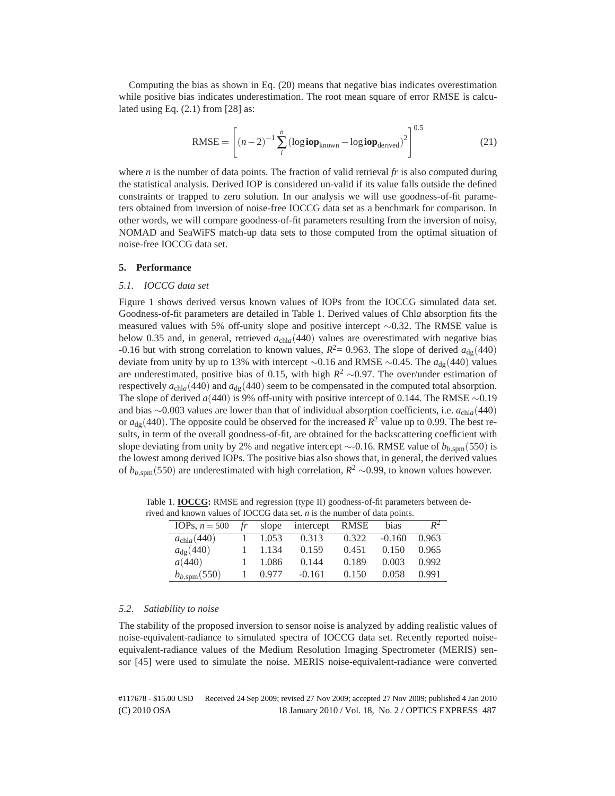Computing the bias as shown in Eq. (20) means that negative bias indicates overestimation while positive bias indicates underestimation. The root mean square of error RMSE is calculated using Eq.  $(2.1)$  from  $[28]$  as:

$$
RMSE = \left[ (n-2)^{-1} \sum_{i}^{n} \left( \log i \mathbf{op}_{known} - \log i \mathbf{op}_{derived} \right)^{2} \right]^{0.5}
$$
(21)

where *n* is the number of data points. The fraction of valid retrieval *fr* is also computed during the statistical analysis. Derived IOP is considered un-valid if its value falls outside the defined constraints or trapped to zero solution. In our analysis we will use goodness-of-fit parameters obtained from inversion of noise-free IOCCG data set as a benchmark for comparison. In other words, we will compare goodness-of-fit parameters resulting from the inversion of noisy, NOMAD and SeaWiFS match-up data sets to those computed from the optimal situation of noise-free IOCCG data set.

#### **5. Performance**

#### *5.1. IOCCG data set*

Figure 1 shows derived versus known values of IOPs from the IOCCG simulated data set. Goodness-of-fit parameters are detailed in Table 1. Derived values of Chl*a* absorption fits the measured values with 5% off-unity slope and positive intercept ∼0.32. The RMSE value is below 0.35 and, in general, retrieved  $a_{\text{chla}}(440)$  values are overestimated with negative bias -0.16 but with strong correlation to known values,  $R^2$  = 0.963. The slope of derived  $a_{\text{de}}$ (440) deviate from unity by up to 13% with intercept ∼0.16 and RMSE ∼0.45. The  $a_{\text{de}}$ (440) values are underestimated, positive bias of 0.15, with high *R*<sup>2</sup> ∼0.97. The over/under estimation of respectively  $a_{\text{chla}}$ (440) and  $a_{\text{dg}}$ (440) seem to be compensated in the computed total absorption. The slope of derived *a*(440) is 9% off-unity with positive intercept of 0.144. The RMSE ∼0.19 and bias ∼0.003 values are lower than that of individual absorption coefficients, i.e. *a*chl*a*(440) or  $a_{\text{de}}$  (440). The opposite could be observed for the increased  $R^2$  value up to 0.99. The best results, in term of the overall goodness-of-fit, are obtained for the backscattering coefficient with slope deviating from unity by 2% and negative intercept  $\sim$ -0.16. RMSE value of  $b_{b,\text{spm}}(550)$  is the lowest among derived IOPs. The positive bias also shows that, in general, the derived values of *b*<sub>*b*,spm</sub>(550) are underestimated with high correlation,  $R^2$  ∼0.99, to known values however.

| and Known values of TOCCO data set. <i>h</i> is the humber of data points. |    |       |           |             |          |       |  |  |  |  |
|----------------------------------------------------------------------------|----|-------|-----------|-------------|----------|-------|--|--|--|--|
| IOPs, $n = 500$                                                            | fr | slope | intercept | <b>RMSE</b> | bias     | $R^2$ |  |  |  |  |
| $a_{\text{chla}}(440)$                                                     |    | 1.053 | 0.313     | 0.322       | $-0.160$ | 0.963 |  |  |  |  |
| $a_{\rm de}$ (440)                                                         |    | 1.134 | 0.159     | 0.451       | 0.150    | 0.965 |  |  |  |  |
| a(440)                                                                     |    | 1.086 | 0.144     | 0.189       | 0.003    | 0.992 |  |  |  |  |
| $b_{b,\text{spm}}(550)$                                                    |    | 0.977 | $-0.161$  | 0.150       | 0.058    | 0.991 |  |  |  |  |

Table 1. **IOCCG:** RMSE and regression (type II) goodness-of-fit parameters between derived and known values of IOCCG data set. *n* is the number of data points.

## *5.2. Satiability to noise*

The stability of the proposed inversion to sensor noise is analyzed by adding realistic values of noise-equivalent-radiance to simulated spectra of IOCCG data set. Recently reported noiseequivalent-radiance values of the Medium Resolution Imaging Spectrometer (MERIS) sensor [45] were used to simulate the noise. MERIS noise-equivalent-radiance were converted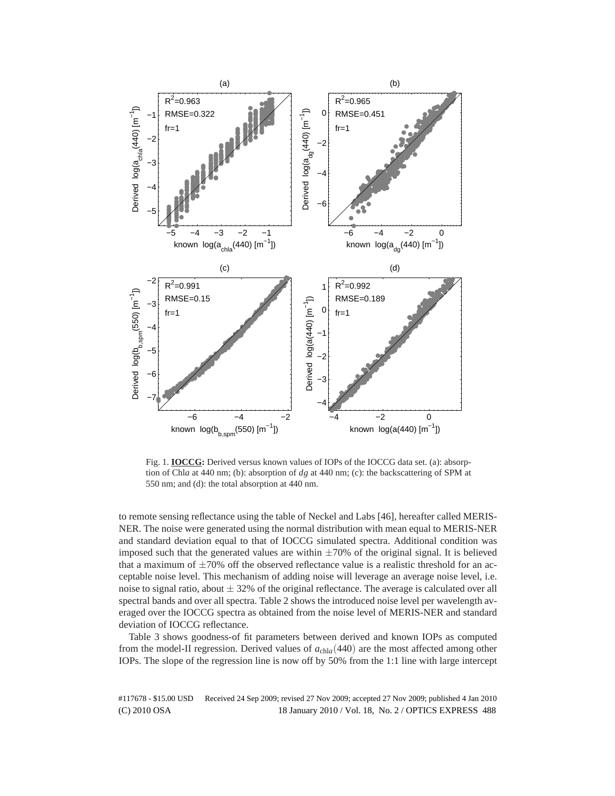

Fig. 1. **IOCCG:** Derived versus known values of IOPs of the IOCCG data set. (a): absorption of Chl*a* at 440 nm; (b): absorption of *dg* at 440 nm; (c): the backscattering of SPM at 550 nm; and (d): the total absorption at 440 nm.

to remote sensing reflectance using the table of Neckel and Labs [46], hereafter called MERIS-NER. The noise were generated using the normal distribution with mean equal to MERIS-NER and standard deviation equal to that of IOCCG simulated spectra. Additional condition was imposed such that the generated values are within  $\pm 70\%$  of the original signal. It is believed that a maximum of  $\pm 70\%$  off the observed reflectance value is a realistic threshold for an acceptable noise level. This mechanism of adding noise will leverage an average noise level, i.e. noise to signal ratio, about  $\pm$  32% of the original reflectance. The average is calculated over all spectral bands and over all spectra. Table 2 shows the introduced noise level per wavelength averaged over the IOCCG spectra as obtained from the noise level of MERIS-NER and standard deviation of IOCCG reflectance.

Table 3 shows goodness-of fit parameters between derived and known IOPs as computed from the model-II regression. Derived values of *a*chl*a*(440) are the most affected among other IOPs. The slope of the regression line is now off by 50% from the 1:1 line with large intercept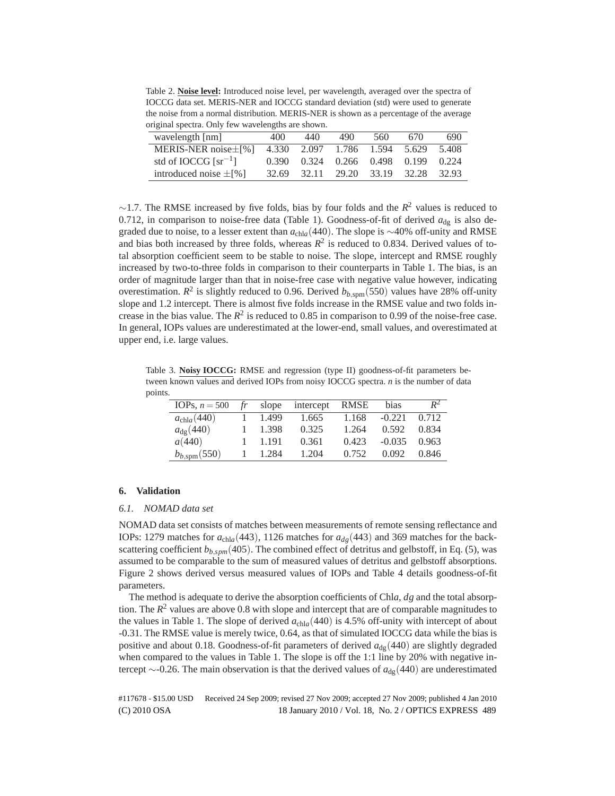Table 2. **Noise level:** Introduced noise level, per wavelength, averaged over the spectra of IOCCG data set. MERIS-NER and IOCCG standard deviation (std) were used to generate the noise from a normal distribution. MERIS-NER is shown as a percentage of the average original spectra. Only few wavelengths are shown.

| wavelength [nm]            | 400   | 440 | 490                                 | 560 | 670 | 690   |
|----------------------------|-------|-----|-------------------------------------|-----|-----|-------|
| MERIS-NER noise $\pm$ [%]  | 4.330 |     | 2.097 1.786 1.594 5.629             |     |     | 5.408 |
| std of IOCCG [ $sr^{-1}$ ] |       |     | 0.390 0.324 0.266 0.498 0.199 0.224 |     |     |       |
| introduced noise $\pm$ [%] |       |     | 32.69 32.11 29.20 33.19 32.28 32.93 |     |     |       |

 $\sim$ 1.7. The RMSE increased by five folds, bias by four folds and the  $R^2$  values is reduced to 0.712, in comparison to noise-free data (Table 1). Goodness-of-fit of derived  $a_{d}$  is also degraded due to noise, to a lesser extent than  $a_{\text{chla}}$ (440). The slope is ∼40% off-unity and RMSE and bias both increased by three folds, whereas  $R^2$  is reduced to 0.834. Derived values of total absorption coefficient seem to be stable to noise. The slope, intercept and RMSE roughly increased by two-to-three folds in comparison to their counterparts in Table 1. The bias, is an order of magnitude larger than that in noise-free case with negative value however, indicating overestimation.  $R^2$  is slightly reduced to 0.96. Derived  $b_{b,\text{spm}}(550)$  values have 28% off-unity slope and 1.2 intercept. There is almost five folds increase in the RMSE value and two folds increase in the bias value. The  $R^2$  is reduced to 0.85 in comparison to 0.99 of the noise-free case. In general, IOPs values are underestimated at the lower-end, small values, and overestimated at upper end, i.e. large values.

Table 3. **Noisy IOCCG:** RMSE and regression (type II) goodness-of-fit parameters between known values and derived IOPs from noisy IOCCG spectra. *n* is the number of data points.

| IOPs, $n = 500$         | fr | slope | intercept | RMSE  | bias     | $R^2$ |
|-------------------------|----|-------|-----------|-------|----------|-------|
| $a_{\text{chla}}(440)$  |    | 1.499 | 1.665     | 1.168 | $-0.221$ | 0.712 |
| $a_{\rm de}(440)$       |    | 1.398 | 0.325     | 1.264 | 0.592    | 0.834 |
| a(440)                  |    | 1.191 | 0.361     | 0.423 | $-0.035$ | 0.963 |
| $b_{b,\text{spm}}(550)$ |    | 1.284 | 1.204     | 0.752 | 0.092    | 0.846 |

## **6. Validation**

#### *6.1. NOMAD data set*

NOMAD data set consists of matches between measurements of remote sensing reflectance and IOPs: 1279 matches for  $a_{\text{chla}}(443)$ , 1126 matches for  $a_{\text{de}}(443)$  and 369 matches for the backscattering coefficient  $b_{b,spm}(405)$ . The combined effect of detritus and gelbstoff, in Eq. (5), was assumed to be comparable to the sum of measured values of detritus and gelbstoff absorptions. Figure 2 shows derived versus measured values of IOPs and Table 4 details goodness-of-fit parameters.

The method is adequate to derive the absorption coefficients of Chl*a*, *dg* and the total absorption. The  $R^2$  values are above 0.8 with slope and intercept that are of comparable magnitudes to the values in Table 1. The slope of derived  $a_{\text{chla}}(440)$  is 4.5% off-unity with intercept of about -0.31. The RMSE value is merely twice, 0.64, as that of simulated IOCCG data while the bias is positive and about 0.18. Goodness-of-fit parameters of derived  $a_{dq}(440)$  are slightly degraded when compared to the values in Table 1. The slope is off the 1:1 line by 20% with negative intercept ∼-0.26. The main observation is that the derived values of  $a_{\text{dg}}(440)$  are underestimated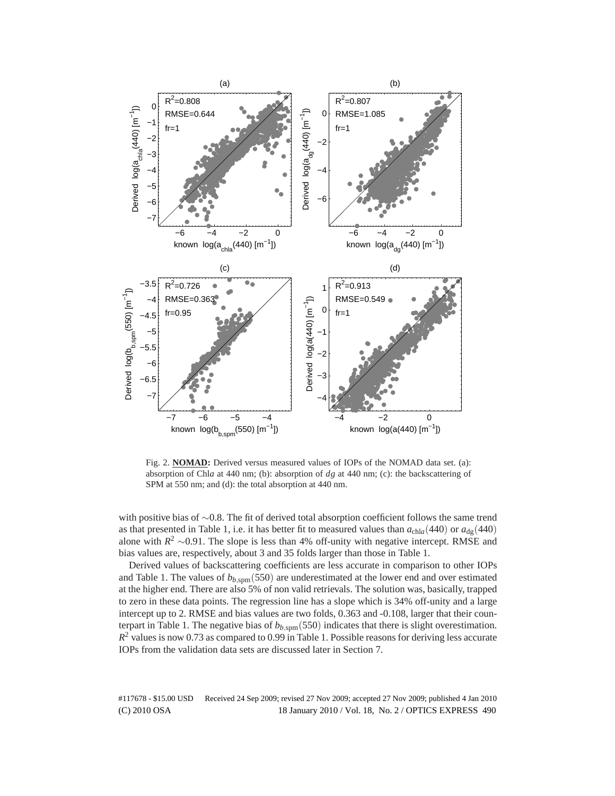

Fig. 2. **NOMAD:** Derived versus measured values of IOPs of the NOMAD data set. (a): absorption of Chl*a* at 440 nm; (b): absorption of *dg* at 440 nm; (c): the backscattering of SPM at 550 nm; and (d): the total absorption at 440 nm.

with positive bias of ∼0.8. The fit of derived total absorption coefficient follows the same trend as that presented in Table 1, i.e. it has better fit to measured values than  $a_{\text{chla}}(440)$  or  $a_{\text{dg}}(440)$ alone with  $R^2 \sim 0.91$ . The slope is less than 4% off-unity with negative intercept. RMSE and bias values are, respectively, about 3 and 35 folds larger than those in Table 1.

Derived values of backscattering coefficients are less accurate in comparison to other IOPs and Table 1. The values of  $b_{b,\text{spm}}(550)$  are underestimated at the lower end and over estimated at the higher end. There are also 5% of non valid retrievals. The solution was, basically, trapped to zero in these data points. The regression line has a slope which is 34% off-unity and a large intercept up to 2. RMSE and bias values are two folds, 0.363 and -0.108, larger that their counterpart in Table 1. The negative bias of  $b_{b,\text{som}}(550)$  indicates that there is slight overestimation.  $R^2$  values is now 0.73 as compared to 0.99 in Table 1. Possible reasons for deriving less accurate IOPs from the validation data sets are discussed later in Section 7.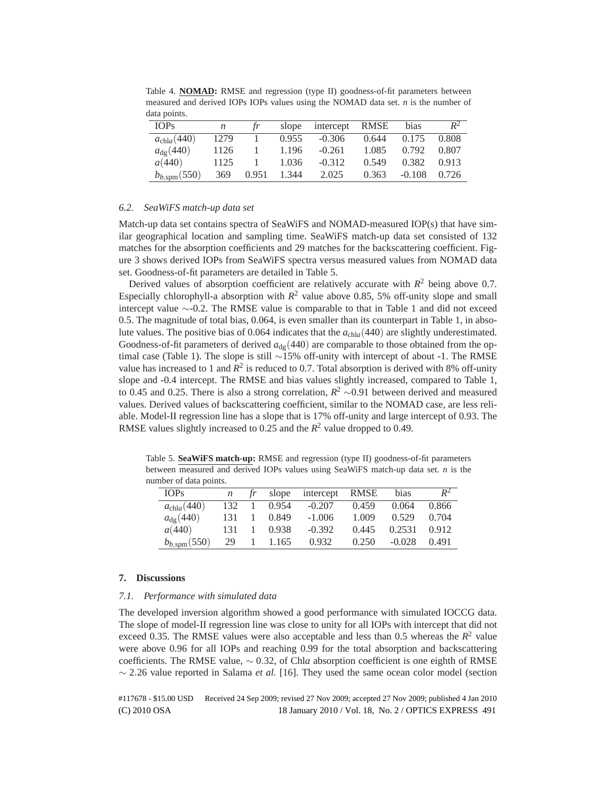| <b>IOPs</b>             | n    | 1r    | slope | intercept RMSE |       | bias     | $R^2$ |
|-------------------------|------|-------|-------|----------------|-------|----------|-------|
| $a_{\text{chla}}(440)$  | 1279 | Ι.    | 0.955 | $-0.306$       | 0.644 | 0.175    | 0.808 |
| $a_{\rm dg}(440)$       | 1126 |       | 1.196 | $-0.261$       | 1.085 | 0.792    | 0.807 |
| a(440)                  | 1125 |       | 1.036 | $-0.312$       | 0.549 | 0.382    | 0.913 |
| $b_{b,\text{spm}}(550)$ | 369  | 0.951 | 1.344 | 2.025          | 0.363 | $-0.108$ | 0.726 |

Table 4. **NOMAD:** RMSE and regression (type II) goodness-of-fit parameters between measured and derived IOPs IOPs values using the NOMAD data set. *n* is the number of data points.

## *6.2. SeaWiFS match-up data set*

Match-up data set contains spectra of SeaWiFS and NOMAD-measured IOP(s) that have similar geographical location and sampling time. SeaWiFS match-up data set consisted of 132 matches for the absorption coefficients and 29 matches for the backscattering coefficient. Figure 3 shows derived IOPs from SeaWiFS spectra versus measured values from NOMAD data set. Goodness-of-fit parameters are detailed in Table 5.

Derived values of absorption coefficient are relatively accurate with  $R^2$  being above 0.7. Especially chlorophyll-a absorption with  $R^2$  value above 0.85, 5% off-unity slope and small intercept value ∼-0.2. The RMSE value is comparable to that in Table 1 and did not exceed 0.5. The magnitude of total bias, 0.064, is even smaller than its counterpart in Table 1, in absolute values. The positive bias of 0.064 indicates that the *a*chl*a*(440) are slightly underestimated. Goodness-of-fit parameters of derived  $a_{dq}(440)$  are comparable to those obtained from the optimal case (Table 1). The slope is still ∼15% off-unity with intercept of about -1. The RMSE value has increased to 1 and  $R^2$  is reduced to 0.7. Total absorption is derived with 8% off-unity slope and -0.4 intercept. The RMSE and bias values slightly increased, compared to Table 1, to 0.45 and 0.25. There is also a strong correlation,  $R^2 \sim 0.91$  between derived and measured values. Derived values of backscattering coefficient, similar to the NOMAD case, are less reliable. Model-II regression line has a slope that is 17% off-unity and large intercept of 0.93. The RMSE values slightly increased to 0.25 and the  $R^2$  value dropped to 0.49.

Table 5. **SeaWiFS match-up:** RMSE and regression (type II) goodness-of-fit parameters between measured and derived IOPs values using SeaWiFS match-up data set. *n* is the number of data points.

| <b>IOPs</b>             | n   | slope | intercept RMSE |       | bias     | $R^2$ |
|-------------------------|-----|-------|----------------|-------|----------|-------|
| $a_{\text{chla}}(440)$  | 132 | 0.954 | $-0.207$       | 0.459 | 0.064    | 0.866 |
| $a_{\rm de}(440)$       | 131 | 0.849 | $-1.006$       | 1.009 | 0.529    | 0.704 |
| a(440)                  | 131 | 0.938 | $-0.392$       | 0.445 | 0.2531   | 0.912 |
| $b_{b,\text{spm}}(550)$ | 29  | 1.165 | 0.932          | 0.250 | $-0.028$ | 0.491 |

#### **7. Discussions**

## *7.1. Performance with simulated data*

The developed inversion algorithm showed a good performance with simulated IOCCG data. The slope of model-II regression line was close to unity for all IOPs with intercept that did not exceed 0.35. The RMSE values were also acceptable and less than 0.5 whereas the  $R^2$  value were above 0.96 for all IOPs and reaching 0.99 for the total absorption and backscattering coefficients. The RMSE value, ∼ 0.32, of Chl*a* absorption coefficient is one eighth of RMSE ∼ 2.26 value reported in Salama *et al.* [16]. They used the same ocean color model (section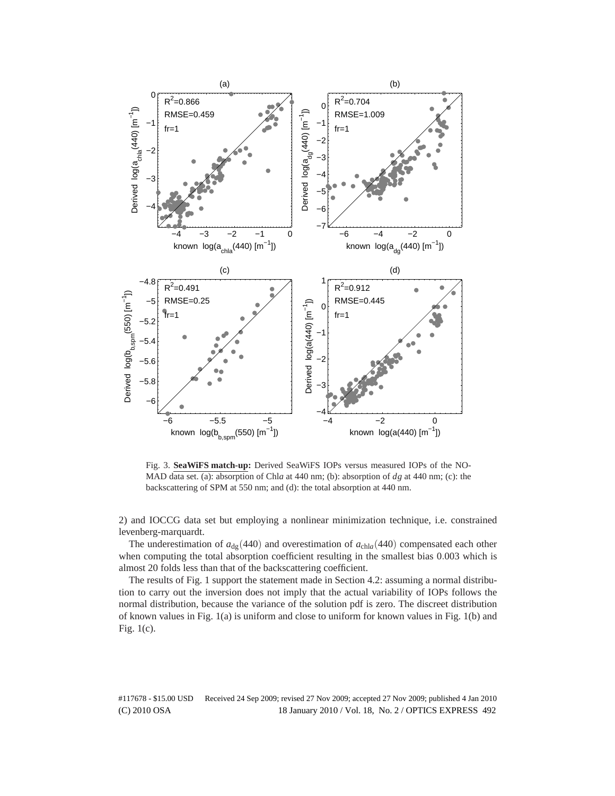

Fig. 3. **SeaWiFS match-up:** Derived SeaWiFS IOPs versus measured IOPs of the NO-MAD data set. (a): absorption of Chl*a* at 440 nm; (b): absorption of *dg* at 440 nm; (c): the backscattering of SPM at 550 nm; and (d): the total absorption at 440 nm.

2) and IOCCG data set but employing a nonlinear minimization technique, i.e. constrained levenberg-marquardt.

The underestimation of  $a_{\text{de}}$ (440) and overestimation of  $a_{\text{chla}}$ (440) compensated each other when computing the total absorption coefficient resulting in the smallest bias 0.003 which is almost 20 folds less than that of the backscattering coefficient.

The results of Fig. 1 support the statement made in Section 4.2: assuming a normal distribution to carry out the inversion does not imply that the actual variability of IOPs follows the normal distribution, because the variance of the solution pdf is zero. The discreet distribution of known values in Fig. 1(a) is uniform and close to uniform for known values in Fig. 1(b) and Fig. 1(c).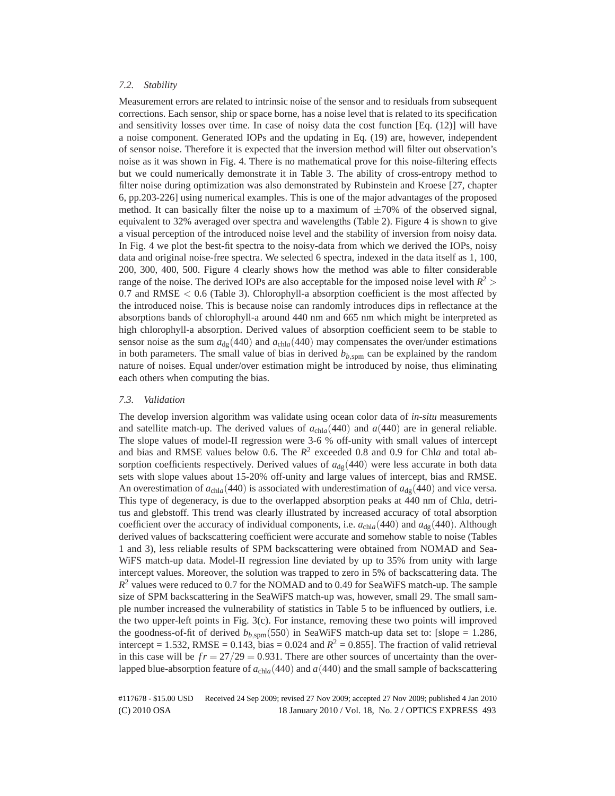#### *7.2. Stability*

Measurement errors are related to intrinsic noise of the sensor and to residuals from subsequent corrections. Each sensor, ship or space borne, has a noise level that is related to its specification and sensitivity losses over time. In case of noisy data the cost function [Eq. (12)] will have a noise component. Generated IOPs and the updating in Eq. (19) are, however, independent of sensor noise. Therefore it is expected that the inversion method will filter out observation's noise as it was shown in Fig. 4. There is no mathematical prove for this noise-filtering effects but we could numerically demonstrate it in Table 3. The ability of cross-entropy method to filter noise during optimization was also demonstrated by Rubinstein and Kroese [27, chapter 6, pp.203-226] using numerical examples. This is one of the major advantages of the proposed method. It can basically filter the noise up to a maximum of  $\pm 70\%$  of the observed signal, equivalent to 32% averaged over spectra and wavelengths (Table 2). Figure 4 is shown to give a visual perception of the introduced noise level and the stability of inversion from noisy data. In Fig. 4 we plot the best-fit spectra to the noisy-data from which we derived the IOPs, noisy data and original noise-free spectra. We selected 6 spectra, indexed in the data itself as 1, 100, 200, 300, 400, 500. Figure 4 clearly shows how the method was able to filter considerable range of the noise. The derived IOPs are also acceptable for the imposed noise level with  $R^2$ 0.7 and  $RMSE < 0.6$  (Table 3). Chlorophyll-a absorption coefficient is the most affected by the introduced noise. This is because noise can randomly introduces dips in reflectance at the absorptions bands of chlorophyll-a around 440 nm and 665 nm which might be interpreted as high chlorophyll-a absorption. Derived values of absorption coefficient seem to be stable to sensor noise as the sum  $a_{\text{dg}}(440)$  and  $a_{\text{chla}}(440)$  may compensates the over/under estimations in both parameters. The small value of bias in derived  $b_{b,\text{som}}$  can be explained by the random nature of noises. Equal under/over estimation might be introduced by noise, thus eliminating each others when computing the bias.

#### *7.3. Validation*

The develop inversion algorithm was validate using ocean color data of *in-situ* measurements and satellite match-up. The derived values of  $a_{\text{chla}}(440)$  and  $a(440)$  are in general reliable. The slope values of model-II regression were 3-6 % off-unity with small values of intercept and bias and RMSE values below 0.6. The  $R^2$  exceeded 0.8 and 0.9 for Chla and total absorption coefficients respectively. Derived values of  $a_{dg}(440)$  were less accurate in both data sets with slope values about 15-20% off-unity and large values of intercept, bias and RMSE. An overestimation of  $a_{chla}(440)$  is associated with underestimation of  $a_{dg}(440)$  and vice versa. This type of degeneracy, is due to the overlapped absorption peaks at 440 nm of Chl*a*, detritus and glebstoff. This trend was clearly illustrated by increased accuracy of total absorption coefficient over the accuracy of individual components, i.e.  $a_{\text{chla}}(440)$  and  $a_{\text{dg}}(440)$ . Although derived values of backscattering coefficient were accurate and somehow stable to noise (Tables 1 and 3), less reliable results of SPM backscattering were obtained from NOMAD and Sea-WiFS match-up data. Model-II regression line deviated by up to 35% from unity with large intercept values. Moreover, the solution was trapped to zero in 5% of backscattering data. The *R*<sup>2</sup> values were reduced to 0.7 for the NOMAD and to 0.49 for SeaWiFS match-up. The sample size of SPM backscattering in the SeaWiFS match-up was, however, small 29. The small sample number increased the vulnerability of statistics in Table 5 to be influenced by outliers, i.e. the two upper-left points in Fig. 3(c). For instance, removing these two points will improved the goodness-of-fit of derived  $b_{b,\text{som}}(550)$  in SeaWiFS match-up data set to: [slope = 1.286, intercept = 1.532, RMSE = 0.143, bias = 0.024 and  $R^2$  = 0.855]. The fraction of valid retrieval in this case will be  $fr = 27/29 = 0.931$ . There are other sources of uncertainty than the overlapped blue-absorption feature of *a*chl*a*(440) and *a*(440) and the small sample of backscattering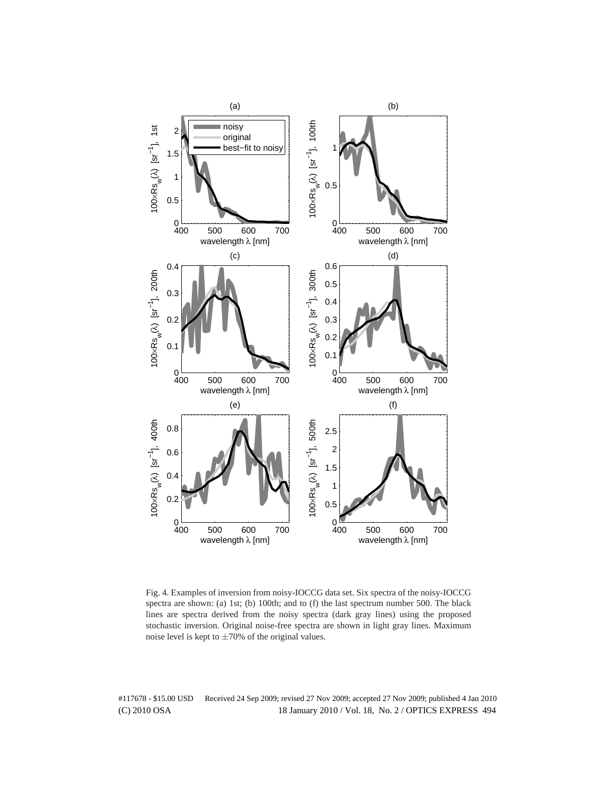

Fig. 4. Examples of inversion from noisy-IOCCG data set. Six spectra of the noisy-IOCCG spectra are shown: (a) 1st; (b) 100th; and to (f) the last spectrum number 500. The black lines are spectra derived from the noisy spectra (dark gray lines) using the proposed stochastic inversion. Original noise-free spectra are shown in light gray lines. Maximum noise level is kept to  $\pm 70\%$  of the original values.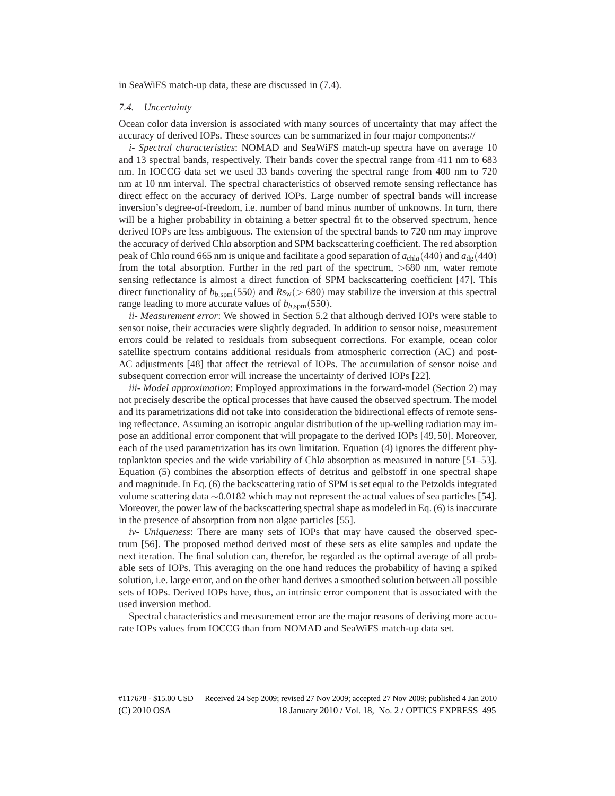in SeaWiFS match-up data, these are discussed in (7.4).

#### *7.4. Uncertainty*

Ocean color data inversion is associated with many sources of uncertainty that may affect the accuracy of derived IOPs. These sources can be summarized in four major components://

*i- Spectral characteristics*: NOMAD and SeaWiFS match-up spectra have on average 10 and 13 spectral bands, respectively. Their bands cover the spectral range from 411 nm to 683 nm. In IOCCG data set we used 33 bands covering the spectral range from 400 nm to 720 nm at 10 nm interval. The spectral characteristics of observed remote sensing reflectance has direct effect on the accuracy of derived IOPs. Large number of spectral bands will increase inversion's degree-of-freedom, i.e. number of band minus number of unknowns. In turn, there will be a higher probability in obtaining a better spectral fit to the observed spectrum, hence derived IOPs are less ambiguous. The extension of the spectral bands to 720 nm may improve the accuracy of derived Chl*a* absorption and SPM backscattering coefficient. The red absorption peak of Chl*a* round 665 nm is unique and facilitate a good separation of  $a_{\text{chla}}(440)$  and  $a_{\text{de}}(440)$ from the total absorption. Further in the red part of the spectrum, >680 nm, water remote sensing reflectance is almost a direct function of SPM backscattering coefficient [47]. This direct functionality of  $b_{b,\text{spm}}(550)$  and  $Rs_w (> 680)$  may stabilize the inversion at this spectral range leading to more accurate values of  $b_{b,\text{spm}}(550)$ .

*ii- Measurement error*: We showed in Section 5.2 that although derived IOPs were stable to sensor noise, their accuracies were slightly degraded. In addition to sensor noise, measurement errors could be related to residuals from subsequent corrections. For example, ocean color satellite spectrum contains additional residuals from atmospheric correction (AC) and post-AC adjustments [48] that affect the retrieval of IOPs. The accumulation of sensor noise and subsequent correction error will increase the uncertainty of derived IOPs [22].

*iii- Model approximation*: Employed approximations in the forward-model (Section 2) may not precisely describe the optical processes that have caused the observed spectrum. The model and its parametrizations did not take into consideration the bidirectional effects of remote sensing reflectance. Assuming an isotropic angular distribution of the up-welling radiation may impose an additional error component that will propagate to the derived IOPs [49, 50]. Moreover, each of the used parametrization has its own limitation. Equation (4) ignores the different phytoplankton species and the wide variability of Chl*a* absorption as measured in nature [51–53]. Equation (5) combines the absorption effects of detritus and gelbstoff in one spectral shape and magnitude. In Eq. (6) the backscattering ratio of SPM is set equal to the Petzolds integrated volume scattering data ∼0.0182 which may not represent the actual values of sea particles [54]. Moreover, the power law of the backscattering spectral shape as modeled in Eq. (6) is inaccurate in the presence of absorption from non algae particles [55].

*iv- Uniqueness*: There are many sets of IOPs that may have caused the observed spectrum [56]. The proposed method derived most of these sets as elite samples and update the next iteration. The final solution can, therefor, be regarded as the optimal average of all probable sets of IOPs. This averaging on the one hand reduces the probability of having a spiked solution, i.e. large error, and on the other hand derives a smoothed solution between all possible sets of IOPs. Derived IOPs have, thus, an intrinsic error component that is associated with the used inversion method.

Spectral characteristics and measurement error are the major reasons of deriving more accurate IOPs values from IOCCG than from NOMAD and SeaWiFS match-up data set.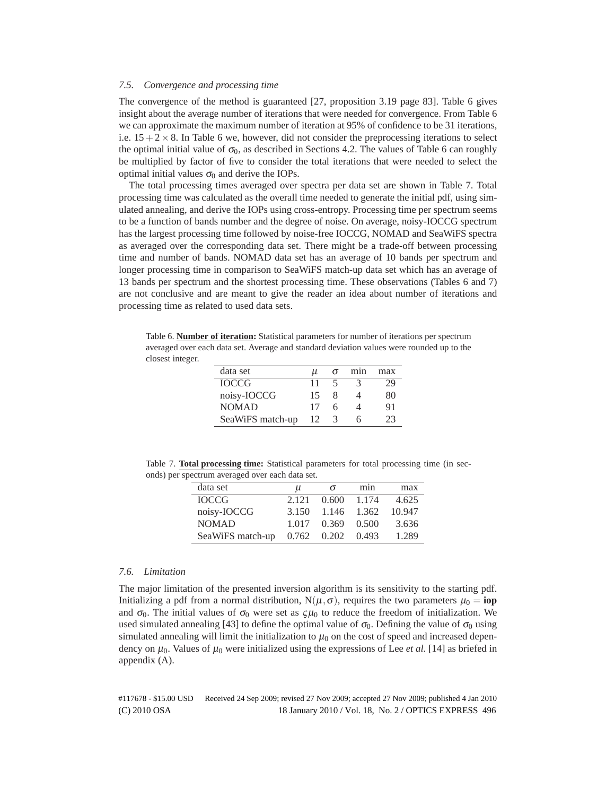## *7.5. Convergence and processing time*

The convergence of the method is guaranteed [27, proposition 3.19 page 83]. Table 6 gives insight about the average number of iterations that were needed for convergence. From Table 6 we can approximate the maximum number of iteration at 95% of confidence to be 31 iterations, i.e.  $15+2\times8$ . In Table 6 we, however, did not consider the preprocessing iterations to select the optimal initial value of  $\sigma_0$ , as described in Sections 4.2. The values of Table 6 can roughly be multiplied by factor of five to consider the total iterations that were needed to select the optimal initial values  $\sigma_0$  and derive the IOPs.

The total processing times averaged over spectra per data set are shown in Table 7. Total processing time was calculated as the overall time needed to generate the initial pdf, using simulated annealing, and derive the IOPs using cross-entropy. Processing time per spectrum seems to be a function of bands number and the degree of noise. On average, noisy-IOCCG spectrum has the largest processing time followed by noise-free IOCCG, NOMAD and SeaWiFS spectra as averaged over the corresponding data set. There might be a trade-off between processing time and number of bands. NOMAD data set has an average of 10 bands per spectrum and longer processing time in comparison to SeaWiFS match-up data set which has an average of 13 bands per spectrum and the shortest processing time. These observations (Tables 6 and 7) are not conclusive and are meant to give the reader an idea about number of iterations and processing time as related to used data sets.

Table 6. **Number of iteration:** Statistical parameters for number of iterations per spectrum averaged over each data set. Average and standard deviation values were rounded up to the closest integer.

| data set         | и  | $\sigma$ | mnn | max |
|------------------|----|----------|-----|-----|
| <b>IOCCG</b>     | 11 |          | 3   | 29  |
| noisy-IOCCG      | 15 | x        |     | 80  |
| <b>NOMAD</b>     | 17 | h        |     | 91  |
| SeaWiFS match-up | 12 | 3        | h   | 23  |

Table 7. **Total processing time:** Statistical parameters for total processing time (in seconds) per spectrum averaged over each data set.

| μ     | σ     | min   | max    |
|-------|-------|-------|--------|
| 2.121 | 0.600 | 1.174 | 4.625  |
| 3.150 |       | 1.362 | 10.947 |
| 1.017 | 0.369 | 0.500 | 3.636  |
| 0.762 | 0.202 | 0.493 | 1.289  |
|       |       |       | 1.146  |

#### *7.6. Limitation*

The major limitation of the presented inversion algorithm is its sensitivity to the starting pdf. Initializing a pdf from a normal distribution,  $N(\mu, \sigma)$ , requires the two parameters  $\mu_0 =$ **iop** and  $\sigma_0$ . The initial values of  $\sigma_0$  were set as  $\zeta \mu_0$  to reduce the freedom of initialization. We used simulated annealing [43] to define the optimal value of  $\sigma_0$ . Defining the value of  $\sigma_0$  using simulated annealing will limit the initialization to  $\mu_0$  on the cost of speed and increased dependency on  $\mu_0$ . Values of  $\mu_0$  were initialized using the expressions of Lee *et al.* [14] as briefed in appendix (A).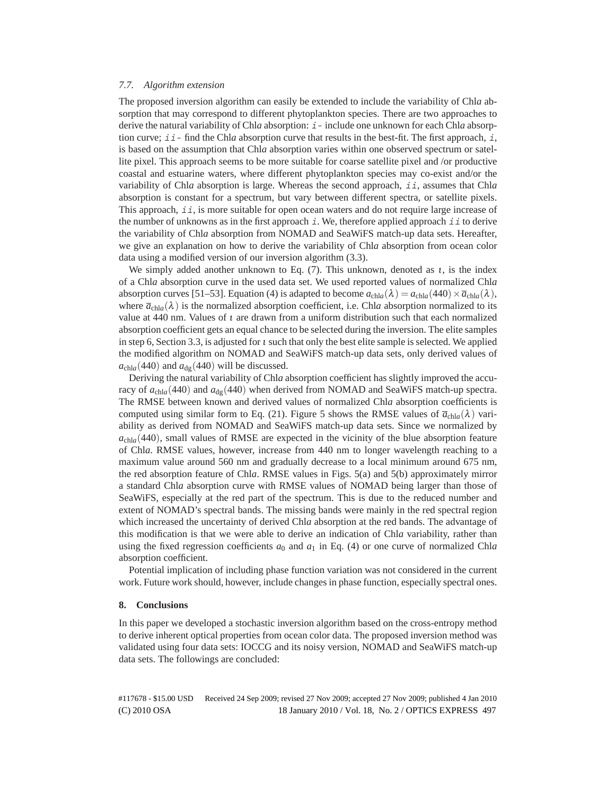## *7.7. Algorithm extension*

The proposed inversion algorithm can easily be extended to include the variability of Chl*a* absorption that may correspond to different phytoplankton species. There are two approaches to derive the natural variability of Chl*a* absorption: <sup>i</sup>- include one unknown for each Chl*a* absorption curve;  $i \dot{i}$ - find the Chl*a* absorption curve that results in the best-fit. The first approach,  $\dot{i}$ , is based on the assumption that Chl*a* absorption varies within one observed spectrum or satellite pixel. This approach seems to be more suitable for coarse satellite pixel and /or productive coastal and estuarine waters, where different phytoplankton species may co-exist and/or the variability of Chla absorption is large. Whereas the second approach, *ii*, assumes that Chla absorption is constant for a spectrum, but vary between different spectra, or satellite pixels. This approach,  $\exists i$ , is more suitable for open ocean waters and do not require large increase of the number of unknowns as in the first approach i. We, therefore applied approach ii to derive the variability of Chl*a* absorption from NOMAD and SeaWiFS match-up data sets. Hereafter, we give an explanation on how to derive the variability of Chl*a* absorption from ocean color data using a modified version of our inversion algorithm (3.3).

We simply added another unknown to Eq. (7). This unknown, denoted as  $t$ , is the index of a Chl*a* absorption curve in the used data set. We used reported values of normalized Chl*a* absorption curves [51–53]. Equation (4) is adapted to become  $a_{\text{chla}}(\lambda) = a_{\text{chla}}(440) \times \overline{a}_{\text{chla}}(\lambda)$ , where  $\bar{a}_{\text{chla}}(\lambda)$  is the normalized absorption coefficient, i.e. Chla absorption normalized to its value at 440 nm. Values of  $\iota$  are drawn from a uniform distribution such that each normalized absorption coefficient gets an equal chance to be selected during the inversion. The elite samples in step 6, Section 3.3, is adjusted for  $\iota$  such that only the best elite sample is selected. We applied the modified algorithm on NOMAD and SeaWiFS match-up data sets, only derived values of  $a_{\text{chla}}(440)$  and  $a_{\text{de}}(440)$  will be discussed.

Deriving the natural variability of Chl*a* absorption coefficient has slightly improved the accuracy of  $a_{\text{chla}}$ (440) and  $a_{\text{de}}$ (440) when derived from NOMAD and SeaWiFS match-up spectra. The RMSE between known and derived values of normalized Chl*a* absorption coefficients is computed using similar form to Eq. (21). Figure 5 shows the RMSE values of  $\bar{a}_{\text{chla}}(\lambda)$  variability as derived from NOMAD and SeaWiFS match-up data sets. Since we normalized by  $a_{\text{chla}}$ (440), small values of RMSE are expected in the vicinity of the blue absorption feature of Chl*a*. RMSE values, however, increase from 440 nm to longer wavelength reaching to a maximum value around 560 nm and gradually decrease to a local minimum around 675 nm, the red absorption feature of Chl*a*. RMSE values in Figs. 5(a) and 5(b) approximately mirror a standard Chl*a* absorption curve with RMSE values of NOMAD being larger than those of SeaWiFS, especially at the red part of the spectrum. This is due to the reduced number and extent of NOMAD's spectral bands. The missing bands were mainly in the red spectral region which increased the uncertainty of derived Chl*a* absorption at the red bands. The advantage of this modification is that we were able to derive an indication of Chl*a* variability, rather than using the fixed regression coefficients  $a_0$  and  $a_1$  in Eq. (4) or one curve of normalized Chla absorption coefficient.

Potential implication of including phase function variation was not considered in the current work. Future work should, however, include changes in phase function, especially spectral ones.

## **8. Conclusions**

In this paper we developed a stochastic inversion algorithm based on the cross-entropy method to derive inherent optical properties from ocean color data. The proposed inversion method was validated using four data sets: IOCCG and its noisy version, NOMAD and SeaWiFS match-up data sets. The followings are concluded: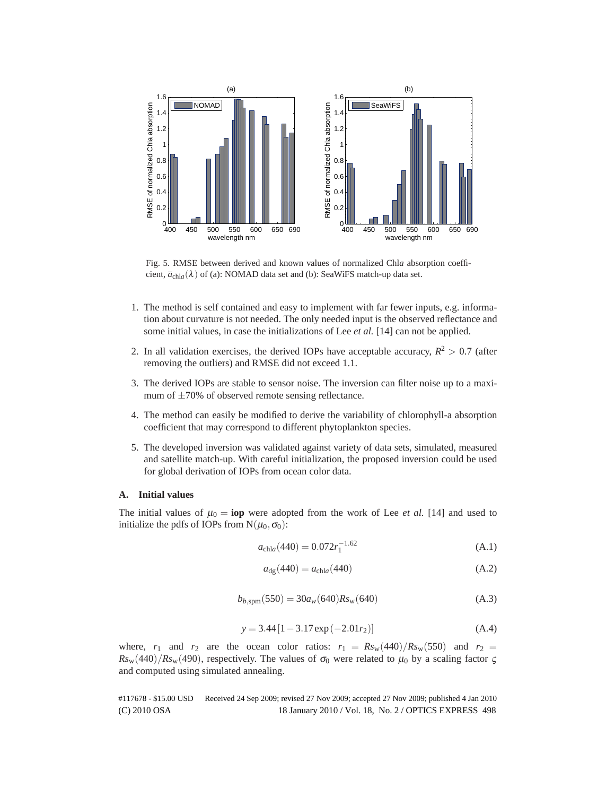

Fig. 5. RMSE between derived and known values of normalized Chl*a* absorption coefficient,  $\overline{a}_{\text{chla}}(\lambda)$  of (a): NOMAD data set and (b): SeaWiFS match-up data set.

- 1. The method is self contained and easy to implement with far fewer inputs, e.g. information about curvature is not needed. The only needed input is the observed reflectance and some initial values, in case the initializations of Lee *et al.* [14] can not be applied.
- 2. In all validation exercises, the derived IOPs have acceptable accuracy,  $R^2 > 0.7$  (after removing the outliers) and RMSE did not exceed 1.1.
- 3. The derived IOPs are stable to sensor noise. The inversion can filter noise up to a maximum of  $\pm 70\%$  of observed remote sensing reflectance.
- 4. The method can easily be modified to derive the variability of chlorophyll-a absorption coefficient that may correspond to different phytoplankton species.
- 5. The developed inversion was validated against variety of data sets, simulated, measured and satellite match-up. With careful initialization, the proposed inversion could be used for global derivation of IOPs from ocean color data.

## **A. Initial values**

The initial values of  $\mu_0 = \textbf{iop}$  were adopted from the work of Lee *et al.* [14] and used to initialize the pdfs of IOPs from  $N(\mu_0, \sigma_0)$ :

$$
a_{\text{chla}}(440) = 0.072 r_1^{-1.62} \tag{A.1}
$$

$$
a_{\rm dg}(440) = a_{\rm chla}(440) \tag{A.2}
$$

$$
b_{b,\text{spm}}(550) = 30a_w(640)Rs_w(640)
$$
\n(A.3)

$$
y = 3.44 [1 - 3.17 \exp(-2.01r_2)] \tag{A.4}
$$

where,  $r_1$  and  $r_2$  are the ocean color ratios:  $r_1 = Rs_w(440)/Rs_w(550)$  and  $r_2 =$  $Rs_w(440)/Rs_w(490)$ , respectively. The values of  $\sigma_0$  were related to  $\mu_0$  by a scaling factor  $\zeta$ and computed using simulated annealing.